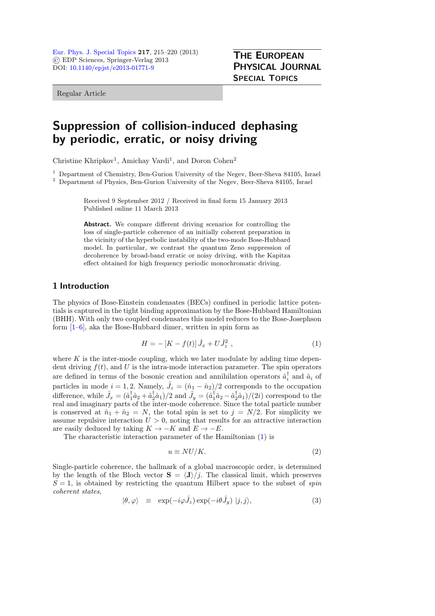Regular Article

# Suppression of collision-induced dephasing by periodic, erratic, or noisy driving

Christine Khripkov<sup>1</sup>, Amichay Vardi<sup>1</sup>, and Doron Cohen<sup>2</sup>

<sup>1</sup> Department of Chemistry, Ben-Gurion University of the Negev, Beer-Sheva 84105, Israel

<sup>2</sup> Department of Physics, Ben-Gurion University of the Negev, Beer-Sheva 84105, Israel

Received 9 September 2012 / Received in final form 15 January 2013 Published online 11 March 2013

Abstract. We compare different driving scenarios for controlling the loss of single-particle coherence of an initially coherent preparation in the vicinity of the hyperbolic instability of the two-mode Bose-Hubbard model. In particular, we contrast the quantum Zeno suppression of decoherence by broad-band erratic or noisy driving, with the Kapitza effect obtained for high frequency periodic monochromatic driving.

# 1 Introduction

The physics of Bose-Einstein condensates (BECs) confined in periodic lattice potentials is captured in the tight binding approximation by the Bose-Hubbard Hamiltonian (BHH). With only two coupled condensates this model reduces to the Bose-Josephson form  $[1-6]$  $[1-6]$ , aka the Bose-Hubbard dimer, written in spin form as

<span id="page-0-0"></span>
$$
H = -[K - f(t)]\hat{J}_x + U\hat{J}_z^2 , \qquad (1)
$$

THE EUROPEAN PHYSICAL JOURNAL

SPECIAL TOPICS

where  $K$  is the inter-mode coupling, which we later modulate by adding time dependent driving  $f(t)$ , and U is the intra-mode interaction parameter. The spin operators are defined in terms of the bosonic creation and annihilation operators  $\hat{a}_i^{\dagger}$  and  $\hat{a}_i$  of particles in mode  $i = 1, 2$ . Namely,  $\hat{J}_z = (\hat{n}_1 - \hat{n}_2)/2$  corresponds to the occupation difference, while  $\hat{J}_x = (\hat{a}_1^{\dagger} \hat{a}_2 + \hat{a}_2^{\dagger} \hat{a}_1)/2$  and  $\hat{J}_y = (\hat{a}_1^{\dagger} \hat{a}_2 - \hat{a}_2^{\dagger} \hat{a}_1)/(2i)$  correspond to the real and imaginary parts of the inter-mode coherence. Since the total particle number is conserved at  $\hat{n}_1 + \hat{n}_2 = N$ , the total spin is set to  $j = N/2$ . For simplicity we assume repulsive interaction  $U > 0$ , noting that results for an attractive interaction are easily deduced by taking  $K \to -K$  and  $E \to -E$ .

The characteristic interaction parameter of the Hamiltonian [\(1\)](#page-0-0) is

$$
u \equiv NU/K.\tag{2}
$$

Single-particle coherence, the hallmark of a global macroscopic order, is determined by the length of the Bloch vector  $S = \langle J \rangle / j$ . The classical limit, which preserves  $S = 1$ , is obtained by restricting the quantum Hilbert space to the subset of spin coherent states,

$$
|\theta, \varphi\rangle \equiv \exp(-i\varphi \hat{J}_z) \exp(-i\theta \hat{J}_y) |j, j\rangle, \qquad (3)
$$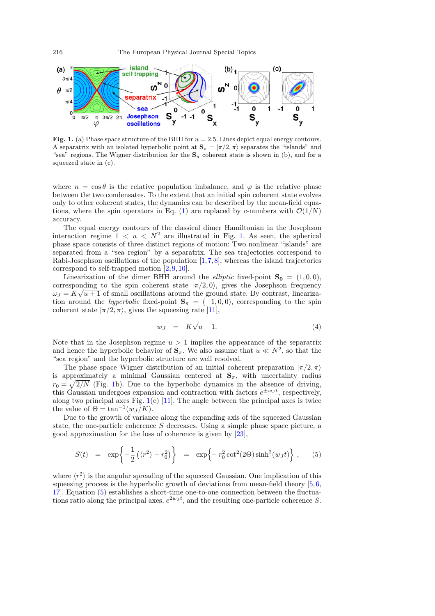

<span id="page-1-0"></span>Fig. 1. (a) Phase space structure of the BHH for  $u = 2.5$ . Lines depict equal energy contours. A separatrix with an isolated hyperbolic point at  $S_{\pi} = |\pi/2, \pi\rangle$  separates the "islands" and<br>"sea" regions. The Wigner distribution for the S, coherent state is shown in (b) and for a "sea" regions. The Wigner distribution for the  $S_\pi$  coherent state is shown in (b), and for a squeezed state in (c).

where  $n = \cos \theta$  is the relative population imbalance, and  $\varphi$  is the relative phase between the two condensates. To the extent that an initial spin coherent state evolves only to other coherent states, the dynamics can be described by the mean-field equa-tions, where the spin operators in Eq. [\(1\)](#page-0-0) are replaced by c-numbers with  $\mathcal{O}(1/N)$ accuracy.

The equal energy contours of the classical dimer Hamiltonian in the Josephson interaction regime  $1 < u < N^2$  are illustrated in Fig. [1.](#page-1-0) As seen, the spherical phase space consists of three distinct regions of motion: Two nonlinear "islands" are separated from a "sea region" by a separatrix. The sea trajectories correspond to Rabi-Josephson oscillations of the population [\[1,](#page-5-0)[7](#page-5-2)[,8](#page-5-3)], whereas the island trajectories correspond to self-trapped motion [\[2](#page-5-4)[,9](#page-5-5),[10\]](#page-5-6).

Linearization of the dimer BHH around the *elliptic* fixed-point  $S_0 = (1, 0, 0)$ . corresponding to the spin coherent state  $|\pi/2, 0\rangle$ , gives the Josephson frequency  $\omega_J = K\sqrt{u+1}$  of small oscillations around the ground state. By contrast, linearization around the *hyperbolic* fixed-point  $S_{\pi} = (-1, 0, 0)$ , corresponding to the spin coherent state  $|\pi/2, \pi\rangle$ , gives the squeezing rate [\[11](#page-5-7)],

<span id="page-1-1"></span>
$$
w_J = K\sqrt{u-1}.\tag{4}
$$

Note that in the Josephson regime  $u > 1$  implies the appearance of the separatrix and hence the hyperbolic behavior of  $S_{\pi}$ . We also assume that  $u \ll N^2$ , so that the "sea region" and the hyperbolic structure are well resolved.

The phase space Wigner distribution of an initial coherent preparation  $|\pi/2, \pi\rangle$ is approximately a minimal Gaussian centered at  $S_{\pi}$ , with uncertainty radius  $r_0 = \sqrt{2/N}$  (Fig. [1b](#page-1-0)). Due to the hyperbolic dynamics in the absence of driving, this Gaussian undergoes expansion and contraction with factors  $e^{\pm w_J t}$ , respectively, along two principal axes Fig.  $1(c)$  $1(c)$  [\[11\]](#page-5-7). The angle between the principal axes is twice the value of  $\Theta = \tan^{-1}(w_J/K)$ .

Due to the growth of variance along the expanding axis of the squeezed Gaussian state, the one-particle coherence  $S$  decreases. Using a simple phase space picture, a good approximation for the loss of coherence is given by [\[23](#page-5-8)],

$$
S(t) = \exp\left\{-\frac{1}{2}\left(\langle r^2 \rangle - r_0^2\right)\right\} = \exp\left\{-r_0^2 \cot^2(2\Theta)\sinh^2(w_Jt)\right\}, \quad (5)
$$

where  $\langle r^2 \rangle$  is the angular spreading of the squeezed Gaussian. One implication of this squeezing process is the hyperbolic growth of deviations from mean-field theory [\[5](#page-5-9),[6,](#page-5-1) [17\]](#page-5-10). Equation [\(5\)](#page-1-1) establishes a short-time one-to-one connection between the fluctuations ratio along the principal axes,  $e^{2w_J t}$ , and the resulting one-particle coherence S.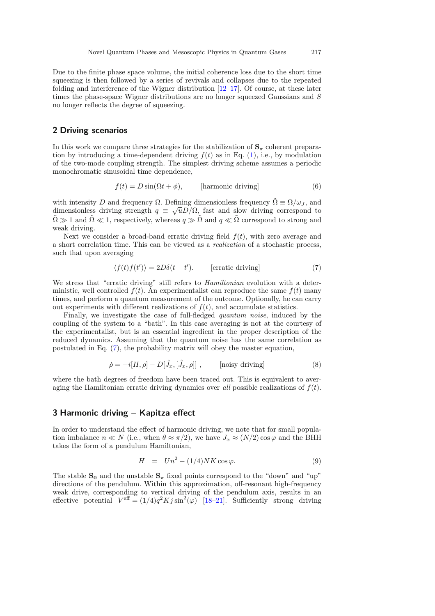Due to the finite phase space volume, the initial coherence loss due to the short time squeezing is then followed by a series of revivals and collapses due to the repeated folding and interference of the Wigner distribution  $[12-17]$  $[12-17]$ . Of course, at these later times the phase-space Wigner distributions are no longer squeezed Gaussians and S no longer reflects the degree of squeezing.

#### 2 Driving scenarios

In this work we compare three strategies for the stabilization of  $S_{\pi}$  coherent preparation by introducing a time-dependent driving  $f(t)$  as in Eq. [\(1\)](#page-0-0), i.e., by modulation of the two-mode coupling strength. The simplest driving scheme assumes a periodic monochromatic sinusoidal time dependence,

$$
f(t) = D\sin(\Omega t + \phi), \qquad \text{[harmonic driving]} \tag{6}
$$

with intensity D and frequency  $\Omega$ . Defining dimensionless frequency  $\Omega \equiv \Omega/\omega_J$ , and dimensionless driving strength  $q \equiv \sqrt{u}D/\Omega$ , fast and slow driving correspond to  $\tilde{\Omega} \gg 1$  and  $\tilde{\Omega} \ll 1$ , respectively, whereas  $q \gg \tilde{\Omega}$  and  $q \ll \tilde{\Omega}$  correspond to strong and weak driving.

Next we consider a broad-band erratic driving field  $f(t)$ , with zero average and a short correlation time. This can be viewed as a realization of a stochastic process, such that upon averaging

<span id="page-2-0"></span>
$$
\langle f(t)f(t')\rangle = 2D\delta(t - t'). \qquad \text{[erratic driving]} \tag{7}
$$

We stress that "erratic driving" still refers to *Hamiltonian* evolution with a deterministic, well controlled  $f(t)$ . An experimentalist can reproduce the same  $f(t)$  many times, and perform a quantum measurement of the outcome. Optionally, he can carry out experiments with different realizations of  $f(t)$ , and accumulate statistics.

Finally, we investigate the case of full-fledged quantum noise, induced by the coupling of the system to a "bath". In this case averaging is not at the courtesy of the experimentalist, but is an essential ingredient in the proper description of the reduced dynamics. Assuming that the quantum noise has the same correlation as postulated in Eq. [\(7\)](#page-2-0), the probability matrix will obey the master equation,

<span id="page-2-1"></span>
$$
\dot{\rho} = -i[H, \rho] - D[\hat{J}_x, [\hat{J}_x, \rho]] , \quad \text{[noisy driving]} \tag{8}
$$

where the bath degrees of freedom have been traced out. This is equivalent to averaging the Hamiltonian erratic driving dynamics over all possible realizations of  $f(t)$ .

# 3 Harmonic driving – Kapitza effect

In order to understand the effect of harmonic driving, we note that for small population imbalance  $n \ll N$  (i.e., when  $\theta \approx \pi/2$ ), we have  $J_r \approx (N/2) \cos \varphi$  and the BHH takes the form of a pendulum Hamiltonian,

$$
H = Un^2 - (1/4)NK\cos\varphi.
$$
 (9)

The stable  $S_0$  and the unstable  $S_\pi$  fixed points correspond to the "down" and "up" directions of the pendulum. Within this approximation, off-resonant high-frequency weak drive, corresponding to vertical driving of the pendulum axis, results in an effective potential  $V^{\text{eff}} = (1/4)q^2 K j \sin^2(\varphi)$  [\[18](#page-5-12)[–21](#page-5-13)]. Sufficiently strong driving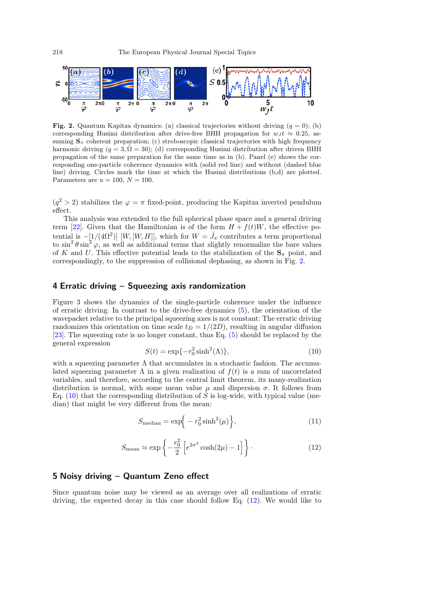

<span id="page-3-0"></span>**Fig. 2.** Quantum Kapitza dynamics: (a) classical trajectories without driving  $(q = 0)$ ; (b) corresponding Husimi distribution after drive-free BHH propagation for  $w_J t \approx 0.25$ , assuming  $S_{\pi}$  coherent preparation; (c) stroboscopic classical trajectories with high frequency harmonic driving  $(q = 3, \Omega = 30)$ ; (d) corresponding Husimi distribution after driven BHH propagation of the same preparation for the same time as in (b). Panel (e) shows the corresponding one-particle coherence dynamics with (solid red line) and without (dashed blue line) driving. Circles mark the time at which the Husimi distributions (b,d) are plotted. Parameters are  $u = 100$ ,  $N = 100$ .

 $(q^2 > 2)$  stabilizes the  $\varphi = \pi$  fixed-point, producing the Kapitza inverted pendulum effect.

This analysis was extended to the full spherical phase space and a general driving term [\[22](#page-5-14)]. Given that the Hamiltonian is of the form  $H + f(t)W$ , the effective potential is  $-[1/(4\Omega^2)]$  [W, [W, H]], which for  $W = \hat{J}_x$  contributes a term proportional to  $\sin^2 \theta \sin^2 \varphi$ , as well as additional terms that slightly renormalize the bare values of K and U. This effective potential leads to the stabilization of the  $S_{\pi}$  point, and correspondingly, to the suppression of collisional dephasing, as shown in Fig. [2.](#page-3-0)

## 4 Erratic driving – Squeezing axis randomization

Figure [3](#page-4-0) shows the dynamics of the single-particle coherence under the influence of erratic driving. In contrast to the drive-free dynamics [\(5\)](#page-1-1), the orientation of the wavepacket relative to the principal squeezing axes is not constant: The erratic driving randomizes this orientation on time scale  $t_D = 1/(2D)$ , resulting in angular diffusion [\[23\]](#page-5-8). The squeezing rate is no longer constant, thus Eq. [\(5\)](#page-1-1) should be replaced by the general expression

$$
S(t) = \exp\{-r_0^2 \sinh^2(\Lambda)\},\tag{10}
$$

<span id="page-3-1"></span>with a squeezing parameter  $\Lambda$  that accumulates in a stochastic fashion. The accumulated squeezing parameter  $\Lambda$  in a given realization of  $f(t)$  is a sum of uncorrelated variables, and therefore, according to the central limit theorem, its many-realization distribution is normal, with some mean value  $\mu$  and dispersion  $\sigma$ . It follows from Eq.  $(10)$  that the corresponding distribution of S is log-wide, with typical value (median) that might be very different from the mean:

<span id="page-3-3"></span>
$$
S_{\text{median}} = \exp\Big{-r_0^2 \sinh^2(\mu)\Big},\tag{11}
$$

$$
S_{\text{mean}} \approx \exp\left\{-\frac{r_0^2}{2}\left[e^{2\sigma^2}\cosh(2\mu) - 1\right]\right\}.
$$
 (12)

## <span id="page-3-2"></span>5 Noisy driving – Quantum Zeno effect

Since quantum noise may be viewed as an average over all realizations of erratic driving, the expected decay in this case should follow Eq. [\(12\)](#page-3-2). We would like to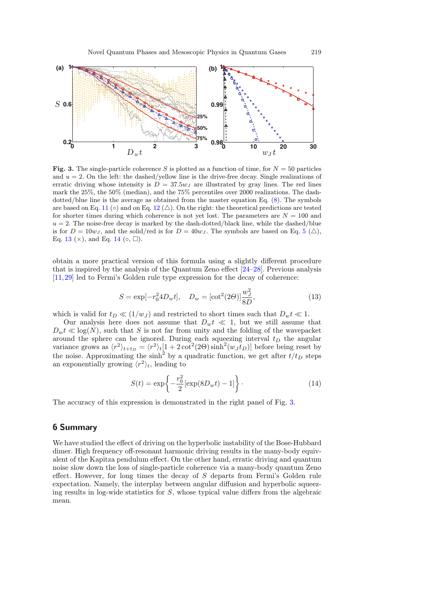

<span id="page-4-0"></span>Fig. 3. The single-particle coherence S is plotted as a function of time, for  $N = 50$  particles and  $u = 2$ . On the left: the dashed/yellow line is the drive-free decay. Single realizations of erratic driving whose intensity is  $D = 37.5 w_J$  are illustrated by gray lines. The red lines mark the 25%, the 50% (median), and the 75% percentiles over 2000 realizations. The dashdotted/blue line is the average as obtained from the master equation Eq. [\(8\)](#page-2-1). The symbols are based on Eq. [11](#page-3-3) (◦) and on Eq. [12](#page-3-2) ( $\triangle$ ). On the right: the theoretical predictions are tested for shorter times during which coherence is not yet lost. The parameters are  $N = 100$  and  $u = 2$ . The noise-free decay is marked by the dash-dotted/black line, while the dashed/blue is for  $D = 10w_J$ , and the solid/red is for  $D = 40w_J$ . The symbols are based on Eq. [5](#page-1-1) ( $\triangle$ ), Eq. [13](#page-4-1) ( $\times$ ), and Eq. [14](#page-4-2) ( $\circ$ ,  $\square$ ).

obtain a more practical version of this formula using a slightly different procedure that is inspired by the analysis of the Quantum Zeno effect [\[24](#page-5-15)[–28\]](#page-5-16). Previous analysis [\[11](#page-5-7)[,29](#page-5-17)] led to Fermi's Golden rule type expression for the decay of coherence:

<span id="page-4-1"></span>
$$
S = \exp[-r_0^2 4D_w t], \quad D_w = [\cot^2(2\Theta)]\frac{w_J^2}{8D},\tag{13}
$$

which is valid for  $t_D \ll (1/w_J)$  and restricted to short times such that  $D_w t \ll 1$ .

Our analysis here does not assume that  $D_w t \ll 1$ , but we still assume that  $D_w t \ll \log(N)$ , such that S is not far from unity and the folding of the wavepacket around the sphere can be ignored. During each squeezing interval  $t_D$  the angular variance grows as  $\langle r^2 \rangle_{t+t_D} = \langle r^2 \rangle_t [1 + 2 \cot^2(2\Theta) \sinh^2(w_J t_D)]$  before being reset by the noise. Approximating the sinh<sup>2</sup> by a quadratic function, we get after  $t/t_D$  steps an exponentially growing  $\langle r^2 \rangle_t$ , leading to

<span id="page-4-2"></span>
$$
S(t) = \exp\left\{-\frac{r_0^2}{2}[\exp(8D_w t) - 1]\right\}.
$$
 (14)

The accuracy of this expression is demonstrated in the right panel of Fig. [3.](#page-4-0)

# 6 Summary

We have studied the effect of driving on the hyperbolic instability of the Bose-Hubbard dimer. High frequency off-resonant harmonic driving results in the many-body equivalent of the Kapitza pendulum effect. On the other hand, erratic driving and quantum noise slow down the loss of single-particle coherence via a many-body quantum Zeno effect. However, for long times the decay of  $S$  departs from Fermi's Golden rule expectation. Namely, the interplay between angular diffusion and hyperbolic squeezing results in log-wide statistics for  $S$ , whose typical value differs from the algebraic mean.